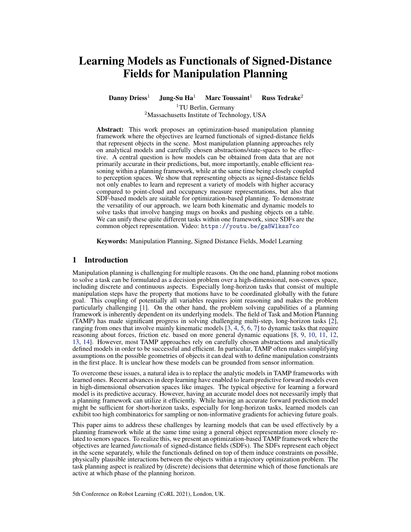# Learning Models as Functionals of Signed-Distance Fields for Manipulation Planning

Danny Driess<sup>1</sup> Jung-Su Ha<sup>1</sup> Marc Toussaint<sup>1</sup> Russ Tedrake<sup>2</sup>

<sup>1</sup>TU Berlin, Germany <sup>2</sup>Massachusetts Institute of Technology, USA

Abstract: This work proposes an optimization-based manipulation planning framework where the objectives are learned functionals of signed-distance fields that represent objects in the scene. Most manipulation planning approaches rely on analytical models and carefully chosen abstractions/state-spaces to be effective. A central question is how models can be obtained from data that are not primarily accurate in their predictions, but, more importantly, enable efficient reasoning within a planning framework, while at the same time being closely coupled to perception spaces. We show that representing objects as signed-distance fields not only enables to learn and represent a variety of models with higher accuracy compared to point-cloud and occupancy measure representations, but also that SDF-based models are suitable for optimization-based planning. To demonstrate the versatility of our approach, we learn both kinematic and dynamic models to solve tasks that involve hanging mugs on hooks and pushing objects on a table. We can unify these quite different tasks within one framework, since SDFs are the common object representation. Video: <https://youtu.be/ga8Wlkss7co>

Keywords: Manipulation Planning, Signed Distance Fields, Model Learning

# 1 Introduction

Manipulation planning is challenging for multiple reasons. On the one hand, planning robot motions to solve a task can be formulated as a decision problem over a high-dimensional, non-convex space, including discrete and continuous aspects. Especially long-horizon tasks that consist of multiple manipulation steps have the property that motions have to be coordinated globally with the future goal. This coupling of potentially all variables requires joint reasoning and makes the problem particularly challenging [\[1\]](#page-8-0). On the other hand, the problem solving capabilities of a planning framework is inherently dependent on its underlying models. The field of Task and Motion Planning (TAMP) has made significant progress in solving challenging multi-step, long-horizon tasks [\[2\]](#page-8-0), ranging from ones that involve mainly kinematic models [\[3,](#page-8-0) [4,](#page-8-0) [5,](#page-8-0) [6,](#page-8-0) [7\]](#page-8-0) to dynamic tasks that require reasoning about forces, friction etc. based on more general dynamic equations [\[8,](#page-8-0) [9,](#page-8-0) [10,](#page-8-0) [11,](#page-8-0) [12,](#page-8-0) [13,](#page-8-0) [14\]](#page-8-0). However, most TAMP approaches rely on carefully chosen abstractions and analytically defined models in order to be successful and efficient. In particular, TAMP often makes simplifying assumptions on the possible geometries of objects it can deal with to define manipulation constraints in the first place. It is unclear how these models can be grounded from sensor information.

To overcome these issues, a natural idea is to replace the analytic models in TAMP frameworks with learned ones. Recent advances in deep learning have enabled to learn predictive forward models even in high-dimensional observation spaces like images. The typical objective for learning a forward model is its predictive accuracy. However, having an accurate model does not necessarily imply that a planning framework can utilize it efficiently. While having an accurate forward prediction model might be sufficient for short-horizon tasks, especially for long-horizon tasks, learned models can exhibit too high combinatorics for sampling or non-informative gradients for achieving future goals.

This paper aims to address these challenges by learning models that can be used effectively by a planning framework while at the same time using a general object representation more closely related to senors spaces. To realize this, we present an optimization-based TAMP framework where the objectives are learned *functionals* of signed-distance fields (SDFs). The SDFs represent each object in the scene separately, while the functionals defined on top of them induce constraints on possible, physically plausible interactions between the objects within a trajectory optimization problem. The task planning aspect is realized by (discrete) decisions that determine which of those functionals are active at which phase of the planning horizon.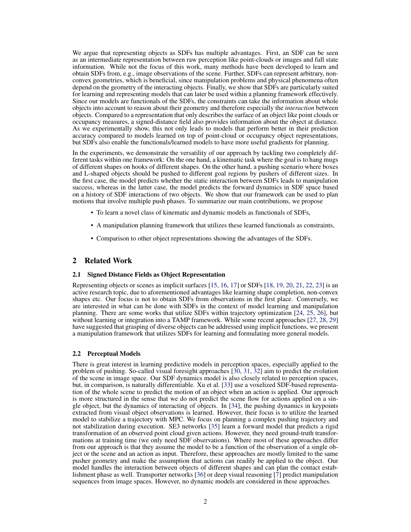We argue that representing objects as SDFs has multiple advantages. First, an SDF can be seen as an intermediate representation between raw perception like point-clouds or images and full state information. While not the focus of this work, many methods have been developed to learn and obtain SDFs from, e.g., image observations of the scene. Further, SDFs can represent arbitrary, nonconvex geometries, which is beneficial, since manipulation problems and physical phenomena often depend on the geometry of the interacting objects. Finally, we show that SDFs are particularly suited for learning and representing models that can later be used within a planning framework effectively. Since our models are functionals of the SDFs, the constraints can take the information about whole objects into account to reason about their geometry and therefore especially the *interaction* between objects. Compared to a representation that only describes the surface of an object like point clouds or occupancy measures, a signed-distance field also provides information about the object at distance. As we experimentally show, this not only leads to models that perform better in their prediction accuracy compared to models learned on top of point-cloud or occupancy object representations, but SDFs also enable the functionals/learned models to have more useful gradients for planning.

In the experiments, we demonstrate the versatility of our approach by tackling two completely different tasks within one framework: On the one hand, a kinematic task where the goal is to hang mugs of different shapes on hooks of different shapes. On the other hand, a pushing scenario where boxes and L-shaped objects should be pushed to different goal regions by pushers of different sizes. In the first case, the model predicts whether the static interaction between SDFs leads to manipulation success, whereas in the latter case, the model predicts the forward dynamics in SDF space based on a history of SDF interactions of two objects. We show that our framework can be used to plan motions that involve multiple push phases. To summarize our main contributions, we propose

- To learn a novel class of kinematic and dynamic models as functionals of SDFs,
- A manipulation planning framework that utilizes these learned functionals as constraints,
- Comparison to other object representations showing the advantages of the SDFs.

# 2 Related Work

#### 2.1 Signed Distance Fields as Object Representation

Representing objects or scenes as implicit surfaces [\[15,](#page-8-0) [16,](#page-8-0) [17\]](#page-8-0) or SDFs [\[18,](#page-9-0) [19,](#page-9-0) [20,](#page-9-0) [21,](#page-9-0) [22,](#page-9-0) [23\]](#page-9-0) is an active research topic, due to aforementioned advantages like learning shape completion, non-convex shapes etc. Our focus is not to obtain SDFs from observations in the first place. Conversely, we are interested in what can be done with SDFs in the context of model learning and manipulation planning. There are some works that utilize SDFs within trajectory optimization [\[24,](#page-9-0) [25,](#page-9-0) [26\]](#page-9-0), but without learning or integration into a TAMP framework. While some recent approaches [\[27,](#page-9-0) [28,](#page-9-0) [29\]](#page-9-0) have suggested that grasping of diverse objects can be addressed using implicit functions, we present a manipulation framework that utilizes SDFs for learning and formulating more general models.

#### 2.2 Perceptual Models

There is great interest in learning predictive models in perception spaces, especially applied to the problem of pushing. So-called visual foresight approaches [\[30,](#page-9-0) [31,](#page-9-0) [32\]](#page-9-0) aim to predict the evolution of the scene in image space. Our SDF dynamics model is also closely related to perception spaces, but, in comparison, is naturally differentiable. Xu et al. [\[33\]](#page-9-0) use a voxelized SDF-based representation of the whole scene to predict the motion of an object when an action is applied. Our approach is more structured in the sense that we do not predict the scene flow for actions applied on a single object, but the dynamics of interacting of objects. In [\[34\]](#page-9-0), the pushing dynamics in keypoints extracted from visual object observations is learned. However, their focus is to utilize the learned model to stabilize a trajectory with MPC. We focus on planning a complex pushing trajectory and not stabilization during execution. SE3 networks [\[35\]](#page-9-0) learn a forward model that predicts a rigid transformation of an observed point cloud given actions. However, they need ground-truth transformations at training time (we only need SDF observations). Where most of these approaches differ from our approach is that they assume the model to be a function of the observation of a single object or the scene and an action as input. Therefore, these approaches are mostly limited to the same pusher geometry and make the assumption that actions can readily be applied to the object. Our model handles the interaction between objects of different shapes and can plan the contact establishment phase as well. Transporter networks [\[36\]](#page-9-0) or deep visual reasoning [\[7\]](#page-8-0) predict manipulation sequences from image spaces. However, no dynamic models are considered in these approaches.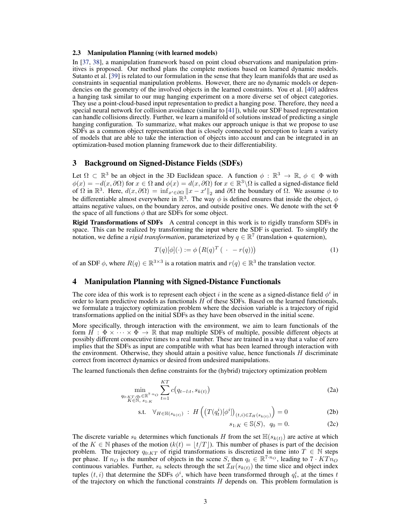#### <span id="page-2-0"></span>2.3 Manipulation Planning (with learned models)

In [\[37,](#page-10-0) [38\]](#page-10-0), a manipulation framework based on point cloud observations and manipulation primitives is proposed. Our method plans the complete motions based on learned dynamic models. Sutanto et al. [\[39\]](#page-10-0) is related to our formulation in the sense that they learn manifolds that are used as constraints in sequential manipulation problems. However, there are no dynamic models or dependencies on the geometry of the involved objects in the learned constraints. You et al. [\[40\]](#page-10-0) address a hanging task similar to our mug hanging experiment on a more diverse set of object categories. They use a point-cloud-based input representation to predict a hanging pose. Therefore, they need a special neural network for collision avoidance (similar to [\[41\]](#page-10-0)), while our SDF based representation can handle collisions directly. Further, we learn a manifold of solutions instead of predicting a single hanging configuration. To summarize, what makes our approach unique is that we propose to use SDFs as a common object representation that is closely connected to perception to learn a variety of models that are able to take the interaction of objects into account and can be integrated in an optimization-based motion planning framework due to their differentiability.

# 3 Background on Signed-Distance Fields (SDFs)

Let  $\Omega \subset \mathbb{R}^3$  be an object in the 3D Euclidean space. A function  $\phi : \mathbb{R}^3 \to \mathbb{R}$ ,  $\phi \in \Phi$  with  $\phi(x) = -d(x, \partial\Omega)$  for  $x \in \Omega$  and  $\phi(x) = d(x, \partial\Omega)$  for  $x \in \mathbb{R}^3 \setminus \Omega$  is called a signed-distance field of  $\Omega$  in  $\mathbb{R}^3$ . Here,  $d(x, \partial \Omega) = \inf_{x' \in \partial \Omega} ||x - x'||_2$  and  $\partial \Omega$  the boundary of  $\Omega$ . We assume  $\phi$  to be differentiable almost everywhere in  $\mathbb{R}^3$ . The way  $\phi$  is defined ensures that inside the object,  $\phi$ attains negative values, on the boundary zeros, and outside positive ones. We denote with the set  $\Phi$ the space of all functions  $\phi$  that are SDFs for some object.

Rigid Transformations of SDFs A central concept in this work is to rigidly transform SDFs in space. This can be realized by transforming the input where the SDF is queried. To simplify the notation, we define a *rigid transformation*, parameterized by  $q \in \mathbb{R}^7$  (translation + quaternion),

$$
T(q)[\phi](\cdot) := \phi\left(R(q)^T\left(\cdot - r(q)\right)\right) \tag{1}
$$

of an SDF  $\phi$ , where  $R(q) \in \mathbb{R}^{3 \times 3}$  is a rotation matrix and  $r(q) \in \mathbb{R}^{3}$  the translation vector.

# 4 Manipulation Planning with Signed-Distance Functionals

The core idea of this work is to represent each object i in the scene as a signed-distance field  $\phi^i$  in order to learn predictive models as functionals  $H$  of these SDFs. Based on the learned functionals, we formulate a trajectory optimization problem where the decision variable is a trajectory of rigid transformations applied on the initial SDFs as they have been observed in the initial scene.

More specifically, through interaction with the environment, we aim to learn functionals of the form  $H : \Phi \times \cdots \times \Phi \to \mathbb{R}$  that map multiple SDFs of multiple, possible different objects at possibly different consecutive times to a real number. These are trained in a way that a value of zero implies that the SDFs as input are compatible with what has been learned through interaction with the environment. Otherwise, they should attain a positive value, hence functionals  $H$  discriminate correct from incorrect dynamics or desired from undesired manipulations.

The learned functionals then define constraints for the (hybrid) trajectory optimization problem

$$
\min_{\substack{q_0, \kappa_T, q_t \in \mathbb{R}^{7-n} \circlearrowright \\ K \in \mathbb{N}, s_1, \kappa}} \sum_{t=1}^{KT} c(q_{t-l:t}, s_{k(t)})
$$
\n(2a)

$$
\text{s.t.} \quad \forall_{H \in \mathbb{H}(s_{k(t)})} \; : \; H\left(\left(T(q_t^i)[\phi^i]\right)_{(t,i) \in \mathcal{I}_H(s_{k(t)})}\right) = 0 \tag{2b}
$$

$$
s_{1:K} \in \mathbb{S}(S), \ \ q_0 = 0. \tag{2c}
$$

The discrete variable  $s_k$  determines which functionals H from the set  $\mathbb{H}(s_{k(t)})$  are active at which of the  $K \in \mathbb{N}$  phases of the motion  $(k(t) = |t/T|)$ . This number of phases is part of the decision problem. The trajectory  $q_{0:KT}$  of rigid transformations is discretized in time into  $T \in \mathbb{N}$  steps per phase. If  $n_O$  is the number of objects in the scene S, then  $q_t \in \mathbb{R}^{7 \cdot n_O}$ , leading to  $7 \cdot KTn_O$ continuous variables. Further,  $s_k$  selects through the set  $\mathcal{I}_H(s_{k(t)})$  the time slice and object index tuples  $(t, i)$  that determine the SDFs  $\phi^i$ , which have been transformed through  $q_t^i$ , at the times t of the trajectory on which the functional constraints  $H$  depends on. This problem formulation is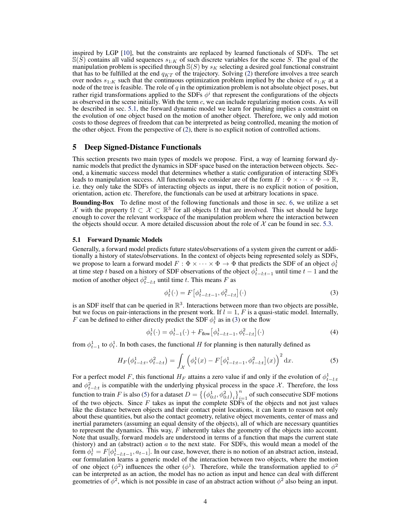<span id="page-3-0"></span>inspired by LGP [\[10\]](#page-8-0), but the constraints are replaced by learned functionals of SDFs. The set  $\mathbb{S}(\overline{S})$  contains all valid sequences  $s_1$ :<sub>K</sub> of such discrete variables for the scene S. The goal of the manipulation problem is specified through  $S(S)$  by  $s_K$  selecting a desired goal functional constraint that has to be fulfilled at the end  $q_{KT}$  of the trajectory. Solving [\(2\)](#page-2-0) therefore involves a tree search over nodes  $s_{1:K}$  such that the continuous optimization problem implied by the choice of  $s_{1:K}$  at a node of the tree is feasible. The role of  $q$  in the optimization problem is not absolute object poses, but rather rigid transformations applied to the SDFs  $\phi^i$  that represent the configurations of the objects as observed in the scene initially. With the term c, we can include regularizing motion costs. As will be described in sec. 5.1, the forward dynamic model we learn for pushing implies a constraint on the evolution of one object based on the motion of another object. Therefore, we only add motion costs to those degrees of freedom that can be interpreted as being controlled, meaning the motion of the other object. From the perspective of [\(2\)](#page-2-0), there is no explicit notion of controlled actions.

# 5 Deep Signed-Distance Functionals

This section presents two main types of models we propose. First, a way of learning forward dynamic models that predict the dynamics in SDF space based on the interaction between objects. Second, a kinematic success model that determines whether a static configuration of interacting SDFs leads to manipulation success. All functionals we consider are of the form  $H : \Phi \times \cdots \times \Phi \to \mathbb{R}$ , i.e. they only take the SDFs of interacting objects as input, there is no explicit notion of position, orientation, action etc. Therefore, the functionals can be used at arbitrary locations in space.

Bounding-Box To define most of the following functionals and those in sec. [6,](#page-4-0) we utilize a set  $\mathcal X$  with the property  $\Omega \subset \mathcal X \subset \mathbb R^3$  for all objects  $\Omega$  that are involved. This set should be large enough to cover the relevant workspace of the manipulation problem where the interaction between the objects should occur. A more detailed discussion about the role of  $\mathcal X$  can be found in sec. [5.3.](#page-4-0)

#### 5.1 Forward Dynamic Models

Generally, a forward model predicts future states/observations of a system given the current or additionally a history of states/observations. In the context of objects being represented solely as SDFs, we propose to learn a forward model  $F : \Phi \times \cdots \times \Phi \to \Phi$  that predicts the SDF of an object  $\phi_t^1$ at time step t based on a history of SDF observations of the object  $\phi_{t-l:t-1}^1$  until time  $t-1$  and the motion of another object  $\phi_{t-l:t}^2$  until time t. This means F as

$$
\phi_t^1(\cdot) = F\left[\phi_{t-l:t-1}^1, \phi_{t-l:t}^2\right](\cdot) \tag{3}
$$

is an SDF itself that can be queried in  $\mathbb{R}^3$ . Interactions between more than two objects are possible, but we focus on pair-interactions in the present work. If  $l = 1$ , F is a quasi-static model. Internally, F can be defined to either directly predict the SDF  $\phi_t^1$  as in (3) or the flow

$$
\phi_t^1(\cdot) = \phi_{t-1}^1(\cdot) + F_{\text{flow}} \left[ \phi_{t-l:t-1}^1, \phi_{t-l:t}^2 \right] (\cdot) \tag{4}
$$

from  $\phi_{t-1}^1$  to  $\phi_t^1$ . In both cases, the functional H for planning is then naturally defined as

$$
H_F(\phi_{t-l:t}^1, \phi_{t-l:t}^2) = \int_{\mathcal{X}} \left( \phi_t^1(x) - F[\phi_{t-l:t-1}^1, \phi_{t-l:t}^2](x) \right)^2 dx.
$$
 (5)

For a perfect model F, this functional  $H_F$  attains a zero value if and only if the evolution of  $\phi_{t-l:t}^1$ and  $\phi_{t-l:t}^2$  is compatible with the underlying physical process in the space X. Therefore, the loss function to train F is also (5) for a dataset  $D = \left\{ \left( \phi_{0:l}^1, \phi_{0:l}^2 \right)_i \right\}_{i=1}^n$  of such consecutive SDF motions of the two objects. Since  $F$  takes as input the complete SDFs of the objects and not just values like the distance between objects and their contact point locations, it can learn to reason not only about these quantities, but also the contact geometry, relative object movements, center of mass and inertial parameters (assuming an equal density of the objects), all of which are necessary quantities to represent the dynamics. This way,  $F$  inherently takes the geometry of the objects into account. Note that usually, forward models are understood in terms of a function that maps the current state (history) and an (abstract) action  $a$  to the next state. For SDFs, this would mean a model of the form  $\phi_t^1 = F[\phi_{t-l:t-1}^1, a_{t-1}]$ . In our case, however, there is no notion of an abstract action, instead, our formulation learns a generic model of the interaction between two objects, where the motion of one object  $(\phi^2)$  influences the other  $(\phi^1)$ . Therefore, while the transformation applied to  $\phi^2$ can be interpreted as an action, the model has no action as input and hence can deal with different geometries of  $\phi^2$ , which is not possible in case of an abstract action without  $\phi^2$  also being an input.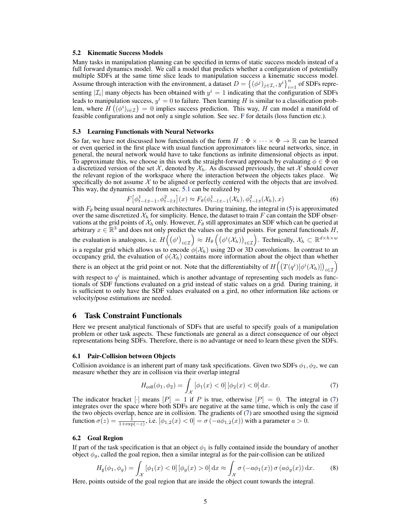#### <span id="page-4-0"></span>5.2 Kinematic Success Models

Many tasks in manipulation planning can be specified in terms of static success models instead of a full forward dynamics model. We call a model that predicts whether a configuration of potentially multiple SDFs at the same time slice leads to manipulation success a kinematic success model. Assume through interaction with the environment, a dataset  $D = \{(\phi^j)_{j \in \mathcal{I}_i}, y^i\}_{i=1}^n$  of SDFs representing  $|\mathcal{I}_i|$  many objects has been obtained with  $y^i = 1$  indicating that the configuration of SDFs leads to manipulation success,  $y^i = 0$  to failure. Then learning H is similar to a classification problem, where  $H((\phi^i)_{i\in\mathcal{I}})=0$  implies success prediction. This way, H can model a manifold of feasible configurations and not only a single solution. See sec. [F](#page--1-0) for details (loss function etc.).

#### 5.3 Learning Functionals with Neural Networks

So far, we have not discussed how functionals of the form  $H : \Phi \times \cdots \times \Phi \to \mathbb{R}$  can be learned or even queried in the first place with usual function approximators like neural networks, since, in general, the neural network would have to take functions as infinite dimensional objects as input. To approximate this, we choose in this work the straight-forward approach by evaluating  $\phi \in \Phi$  on a discretized version of the set  $\mathcal{X}$ , denoted by  $\mathcal{X}_h$ . As discussed previously, the set  $\mathcal{X}$  should cover the relevant region of the workspace where the interaction between the objects takes place. We specifically do not assume  $\mathcal X$  to be aligned or perfectly centered with the objects that are involved. This way, the dynamics model from sec. [5.1](#page-3-0) can be realized by

$$
F[\phi_{t-l:t-1}^1, \phi_{t-l:t}^2](x) \approx F_{\theta}(\phi_{t-l:t-1}^1(\mathcal{X}_h), \phi_{t-l:t}^2(\mathcal{X}_h), x)
$$
(6)

with  $F_{\theta}$  being usual neural network architectures. During training, the integral in [\(5\)](#page-3-0) is approximated over the same discretized  $\mathcal{X}_h$  for simplicity. Hence, the dataset to train F can contain the SDF observations at the grid points of  $\mathcal{X}_h$  only. However,  $F_\theta$  still approximates an SDF which can be queried at arbitrary  $x \in \mathbb{R}^3$  and does not only predict the values on the grid points. For general functionals H, the evaluation is analogous, i.e.  $H((\phi^i)_{i \in \mathcal{I}}) \approx H_\theta((\phi^i(\mathcal{X}_h))_{i \in \mathcal{I}})$ . Technically,  $\mathcal{X}_h \subset \mathbb{R}^{d \times h \times w}$ is a regular grid which allows us to encode  $\phi(\mathcal{X}_h)$  using 2D or 3D convolutions. In contrast to an occupancy grid, the evaluation of  $\phi(\mathcal{X}_h)$  contains more information about the object than whether there is an object at the grid point or not. Note that the differentiabilty of  $H((T(q^i)[\phi^i(\mathcal{X}_h)])_{i\in\mathcal{I}})$ 

with respect to  $q<sup>i</sup>$  is maintained, which is another advantage of representing such models as functionals of SDF functions evaluated on a grid instead of static values on a grid. During training, it is sufficient to only have the SDF values evaluated on a gird, no other information like actions or velocity/pose estimations are needed.

# 6 Task Constraint Functionals

Here we present analytical functionals of SDFs that are useful to specify goals of a manipulation problem or other task aspects. These functionals are general as a direct consequence of our object representations being SDFs. Therefore, there is no advantage or need to learn these given the SDFs.

#### 6.1 Pair-Collision between Objects

Collision avoidance is an inherent part of many task specifications. Given two SDFs  $\phi_1, \phi_2$ , we can measure whether they are in collision via their overlap integral

$$
H_{\text{coll}}(\phi_1, \phi_2) = \int_{\mathcal{X}} \left[ \phi_1(x) < 0 \right] \left[ \phi_2(x) < 0 \right] \, \mathrm{d}x. \tag{7}
$$

The indicator bracket  $[\cdot]$  means  $[P] = 1$  if P is true, otherwise  $[P] = 0$ . The integral in (7) integrates over the space where both SDFs are negative at the same time, which is only the case if the two objects overlap, hence are in collision. The gradients of (7) are smoothed using the sigmoid function  $\sigma(z) = \frac{1}{1 + \exp(-z)}$ , i.e.  $[\phi_{1,2}(x) < 0] = \sigma(-a\phi_{1,2}(x))$  with a parameter  $a > 0$ .

#### 6.2 Goal Region

If part of the task specification is that an object  $\phi_1$  is fully contained inside the boundary of another object  $\phi_q$ , called the goal region, then a similar integral as for the pair-collision can be utilized

$$
H_g(\phi_1, \phi_g) = \int_{\mathcal{X}} \left[ \phi_1(x) < 0 \right] \left[ \phi_g(x) > 0 \right] \mathrm{d}x \approx \int_{\mathcal{X}} \sigma \left( -a \phi_1(x) \right) \sigma \left( a \phi_g(x) \right) \mathrm{d}x. \tag{8}
$$

Here, points outside of the goal region that are inside the object count towards the integral.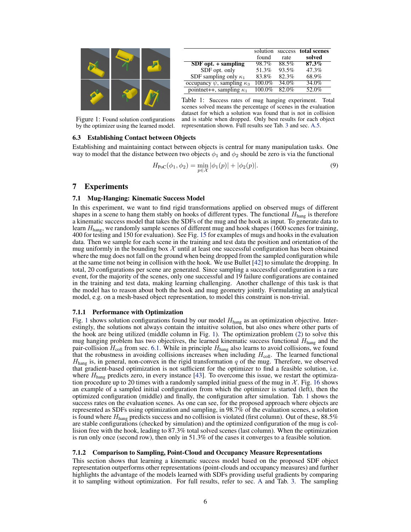<span id="page-5-0"></span>

|                                        | solution  |       | success total scenes |
|----------------------------------------|-----------|-------|----------------------|
|                                        | found     | rate  | solved               |
| $SDF opt. + sampling$                  | 98.7%     | 88.5% | 87.3%                |
| SDF opt. only                          | 51.3%     | 93.5% | 47.3%                |
| SDF sampling only $\kappa_1$           | 83.8%     | 82.3% | 68.9%                |
| occupancy $\psi$ , sampling $\kappa_3$ | 100.0%    | 34.0% | 34.0%                |
| pointnet++, sampling $\kappa_1$        | $100.0\%$ | 82.0% | 52.0%                |

Table 1: Success rates of mug hanging experiment. Total scenes solved means the percentage of scenes in the evaluation dataset for which a solution was found that is not in collision

Figure 1: Found solution configurations by the optimizer using the learned model.

# and is stable when dropped. Only best results for each object representation shown. Full results see Tab. [3](#page--1-0) and sec. [A.5.](#page--1-0)

# 6.3 Establishing Contact between Objects

Establishing and maintaining contact between objects is central for many manipulation tasks. One way to model that the distance between two objects  $\phi_1$  and  $\phi_2$  should be zero is via the functional

$$
H_{\text{PoC}}(\phi_1, \phi_2) = \min_{p \in \mathcal{X}} |\phi_1(p)| + |\phi_2(p)|. \tag{9}
$$

# 7 Experiments

# 7.1 Mug-Hanging: Kinematic Success Model

In this experiment, we want to find rigid transformations applied on observed mugs of different shapes in a scene to hang them stably on hooks of different types. The functional  $H_{\text{hang}}$  is therefore a kinematic success model that takes the SDFs of the mug and the hook as input. To generate data to learn  $H_{\text{hang}}$ , we randomly sample scenes of different mug and hook shapes (1600 scenes for training, 400 for testing and 150 for evaluation). See Fig. [15](#page--1-0) for examples of mugs and hooks in the evaluation data. Then we sample for each scene in the training and test data the position and orientation of the mug uniformly in the bounding box  $X$  until at least one successful configuration has been obtained where the mug does not fall on the ground when being dropped from the sampled configuration while at the same time not being in collision with the hook. We use Bullet [\[42\]](#page-10-0) to simulate the dropping. In total, 20 configurations per scene are generated. Since sampling a successful configuration is a rare event, for the majority of the scenes, only one successful and 19 failure configurations are contained in the training and test data, making learning challenging. Another challenge of this task is that the model has to reason about both the hook and mug geometry jointly. Formulating an analytical model, e.g. on a mesh-based object representation, to model this constraint is non-trivial.

# 7.1.1 Performance with Optimization

Fig. 1 shows solution configurations found by our model  $H_{\text{hang}}$  as an optimization objective. Interestingly, the solutions not always contain the intuitive solution, but also ones where other parts of the hook are being utilized (middle column in Fig. 1). The optimization problem [\(2\)](#page-2-0) to solve this mug hanging problem has two objectives, the learned kinematic success functional  $H_{\text{hang}}$  and the pair-collision  $H_{\text{coll}}$  from sec. [6.1.](#page-4-0) While in principle  $H_{\text{hang}}$  also learns to avoid collisions, we found that the robustness in avoiding collisions increases when including  $H_{\text{coll}}$ . The learned functional  $H<sub>hang</sub>$  is, in general, non-convex in the rigid transformation q of the mug. Therefore, we observed that gradient-based optimization is not sufficient for the optimizer to find a feasible solution, i.e. where  $H_{\text{hang}}$  predicts zero, in every instance [\[43\]](#page-10-0). To overcome this issue, we restart the optimization procedure up to 20 times with a randomly sampled initial guess of the mug in  $\mathcal{X}$ . Fig. [16](#page--1-0) shows an example of a sampled initial configuration from which the optimizer is started (left), then the optimized configuration (middle) and finally, the configuration after simulation. Tab. 1 shows the success rates on the evaluation scenes. As one can see, for the proposed approach where objects are represented as SDFs using optimization and sampling, in 98.7% of the evaluation scenes, a solution is found where  $H_{\text{hang}}$  predicts success and no collision is violated (first column). Out of these, 88.5% are stable configurations (checked by simulation) and the optimized configuration of the mug is collision free with the hook, leading to 87.3% total solved scenes (last column). When the optimization is run only once (second row), then only in 51.3% of the cases it converges to a feasible solution.

#### 7.1.2 Comparison to Sampling, Point-Cloud and Occupancy Measure Representations

This section shows that learning a kinematic success model based on the proposed SDF object representation outperforms other representations (point-clouds and occupancy measures) and further highlights the advantage of the models learned with SDFs providing useful gradients by comparing it to sampling without optimization. For full results, refer to sec. [A](#page--1-0) and Tab. [3.](#page--1-0) The sampling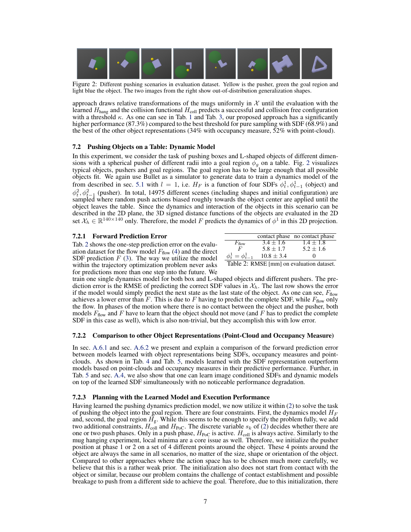<span id="page-6-0"></span>

Figure 2: Different pushing scenarios in evaluation dataset. Yellow is the pusher, green the goal region and light blue the object. The two images from the right show out-of-distribution generalization shapes.

approach draws relative transformations of the mugs uniformly in  $X$  until the evaluation with the learned  $H<sub>hang</sub>$  and the collision functional  $H<sub>coll</sub>$  predicts a successful and collision free configuration with a threshold  $\kappa$ . As one can see in Tab. [1](#page-5-0) and Tab. [3,](#page--1-0) our proposed approach has a significantly higher performance (87.3%) compared to the best threshold for pure sampling with SDF (68.9%) and the best of the other object representations (34% with occupancy measure, 52% with point-cloud).

# 7.2 Pushing Objects on a Table: Dynamic Model

In this experiment, we consider the task of pushing boxes and L-shaped objects of different dimensions with a spherical pusher of different radii into a goal region  $\phi_q$  on a table. Fig. 2 visualizes typical objects, pushers and goal regions. The goal region has to be large enough that all possible objects fit. We again use Bullet as a simulator to generate data to train a dynamics model of the from described in sec. [5.1](#page-3-0) with  $l = 1$ , i.e.  $H_F$  is a function of four SDFs  $\phi_t^1, \phi_{t-1}^1$  (object) and  $\phi_t^2$ ,  $\phi_{t-1}^2$  (pusher). In total, 14975 different scenes (including shapes and initial configuration) are sampled where random push actions biased roughly towards the object center are applied until the object leaves the table. Since the dynamics and interaction of the objects in this scenario can be described in the 2D plane, the 3D signed distance functions of the objects are evaluated in the 2D set  $X_h \in \mathbb{R}^{140 \times 140}$  only. Therefore, the model F predicts the dynamics of  $\phi^1$  in this 2D projection.

# 7.2.1 Forward Prediction Error

Tab. 2 shows the one-step prediction error on the evaluation dataset for the flow model  $F_{flow}$  [\(4\)](#page-3-0) and the direct SDF prediction  $F(3)$  $F(3)$ . The way we utilize the model within the trajectory optimization problem never asks for predictions more than one step into the future. We

|                           |                | contact phase no contact phase |
|---------------------------|----------------|--------------------------------|
| $F_{\text{flow}}$         | $3.4 \pm 1.6$  | $1.4 + 1.8$                    |
| F                         | $5.8 \pm 1.7$  | $5.2 \pm 1.6$                  |
| $\phi_t^1 = \phi_{t-1}^1$ | $10.8 \pm 3.4$ | $\mathbf{\Omega}$              |

Table 2: RMSE [mm] on evaluation dataset.

train one single dynamics model for both box and L-shaped objects and different pushers. The prediction error is the RMSE of predicting the correct SDF values in  $\mathcal{X}_h$ . The last row shows the error if the model would simply predict the next state as the last state of the object. As one can see,  $F_{flow}$ achieves a lower error than  $\overline{F}$ . This is due to  $F$  having to predict the complete SDF, while  $F_{\text{flow}}$  only the flow. In phases of the motion where there is no contact between the object and the pusher, both models  $F_{\text{flow}}$  and F have to learn that the object should not move (and F has to predict the complete SDF in this case as well), which is also non-trivial, but they accomplish this with low error.

#### 7.2.2 Comparison to other Object Representations (Point-Cloud and Occupancy Measure)

In sec. [A.6.1](#page--1-0) and sec. [A.6.2](#page--1-0) we present and explain a comparison of the forward prediction error between models learned with object representations being SDFs, occupancy measures and pointclouds. As shown in Tab. [4](#page--1-0) and Tab. [5,](#page--1-0) models learned with the SDF representation outperform models based on point-clouds and occupancy measures in their predictive performance. Further, in Tab. [5](#page--1-0) and sec. [A.4,](#page--1-0) we also show that one can learn image conditioned SDFs and dynamic models on top of the learned SDF simultaneously with no noticeable performance degradation.

#### 7.2.3 Planning with the Learned Model and Execution Performance

Having learned the pushing dynamics prediction model, we now utilize it within [\(2\)](#page-2-0) to solve the task of pushing the object into the goal region. There are four constraints. First, the dynamics model  $H_F$ and, second, the goal region  $H_g$ . While this seems to be enough to specify the problem fully, we add two additional constraints,  $H_{\text{coll}}$  and  $H_{\text{PoC}}$ . The discrete variable  $s_k$  of [\(2\)](#page-2-0) decides whether there are one or two push phases. Only in a push phase,  $H_{PoC}$  is active.  $H_{coll}$  is always active. Similarly to the mug hanging experiment, local minima are a core issue as well. Therefore, we initialize the pusher position at phase 1 or 2 on a set of 4 different points around the object. These 4 points around the object are always the same in all scenarios, no matter of the size, shape or orientation of the object. Compared to other approaches where the action space has to be chosen much more carefully, we believe that this is a rather weak prior. The initialization also does not start from contact with the object or similar, because our problem contains the challenge of contact establishment and possible breakage to push from a different side to achieve the goal. Therefore, due to this initialization, there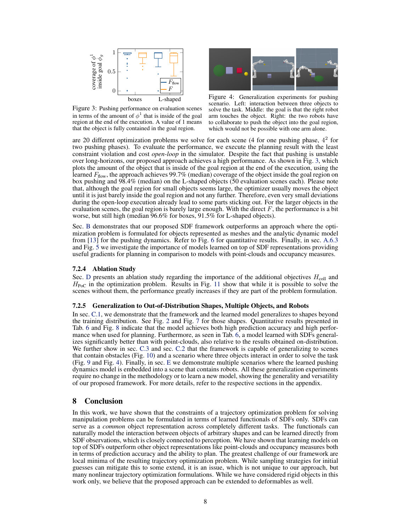

Figure 3: Pushing performance on evaluation scenes in terms of the amount of  $\phi^1$  that is inside of the goal region at the end of the execution. A value of 1 means that the object is fully contained in the goal region.



Figure 4: Generalization experiments for pushing scenario. Left: interaction between three objects to solve the task. Middle: the goal is that the right robot arm touches the object. Right: the two robots have to collaborate to push the object into the goal region, which would not be possible with one arm alone.

are 20 different optimization problems we solve for each scene (4 for one pushing phase,  $4<sup>2</sup>$  for two pushing phases). To evaluate the performance, we execute the planning result with the least constraint violation and cost *open-loop* in the simulator. Despite the fact that pushing is unstable over long-horizons, our proposed approach achieves a high performance. As shown in Fig. 3, which plots the amount of the object that is inside of the goal region at the end of the execution, using the learned  $F_{flow}$ , the approach achieves 99.7% (median) coverage of the object inside the goal region on box pushing and 98.4% (median) on the L-shaped objects (50 evaluation scenes each). Please note that, although the goal region for small objects seems large, the optimizer usually moves the object until it is just barely inside the goal region and not any further. Therefore, even very small deviations during the open-loop execution already lead to some parts sticking out. For the larger objects in the evaluation scenes, the goal region is barely large enough. With the direct  $F$ , the performance is a bit worse, but still high (median 96.6% for boxes, 91.5% for L-shaped objects).

Sec. [B](#page--1-0) demonstrates that our proposed SDF framework outperforms an approach where the optimization problem is formulated for objects represented as meshes and the analytic dynamic model from [\[13\]](#page-8-0) for the pushing dynamics. Refer to Fig. [6](#page--1-0) for quantitative results. Finally, in sec. [A.6.3](#page--1-0) and Fig. [5](#page--1-0) we investigate the importance of models learned on top of SDF representations providing useful gradients for planning in comparison to models with point-clouds and occupancy measures.

#### 7.2.4 Ablation Study

Sec. [D](#page--1-0) presents an ablation study regarding the importance of the additional objectives  $H_{\text{coll}}$  and  $H_{PoC}$  in the optimization problem. Results in Fig. [11](#page--1-0) show that while it is possible to solve the scenes without them, the performance greatly increases if they are part of the problem formulation.

#### 7.2.5 Generalization to Out-of-Distribution Shapes, Multiple Objects, and Robots

In sec. [C.1,](#page--1-0) we demonstrate that the framework and the learned model generalizes to shapes beyond the training distribution. See Fig. [2](#page-6-0) and Fig. [7](#page--1-0) for those shapes. Quantitative results presented in Tab. [6](#page--1-0) and Fig. [8](#page--1-0) indicate that the model achieves both high prediction accuracy and high performance when used for planning. Furthermore, as seen in Tab. [6,](#page--1-0) a model learned with SDFs generalizes significantly better than with point-clouds, also relative to the results obtained on-distribution. We further show in sec. [C.3](#page--1-0) and sec. [C.2](#page--1-0) that the framework is capable of generalizing to scenes that contain obstacles (Fig. [10\)](#page--1-0) and a scenario where three objects interact in order to solve the task (Fig. [9](#page--1-0) and Fig. 4). Finally, in sec. [E](#page--1-0) we demonstrate multiple scenarios where the learned pushing dynamics model is embedded into a scene that contains robots. All these generalization experiments require no change in the methodology or to learn a new model, showing the generality and versatility of our proposed framework. For more details, refer to the respective sections in the appendix.

# 8 Conclusion

In this work, we have shown that the constraints of a trajectory optimization problem for solving manipulation problems can be formulated in terms of learned functionals of SDFs only. SDFs can serve as a *common* object representation across completely different tasks. The functionals can naturally model the interaction between objects of arbitrary shapes and can be learned directly from SDF observations, which is closely connected to perception. We have shown that learning models on top of SDFs outperform other object representations like point-clouds and occupancy measures both in terms of prediction accuracy and the ability to plan. The greatest challenge of our framework are local minima of the resulting trajectory optimization problem. While sampling strategies for initial guesses can mitigate this to some extend, it is an issue, which is not unique to our approach, but many nonlinear trajectory optimization formulations. While we have considered rigid objects in this work only, we believe that the proposed approach can be extended to deformables as well.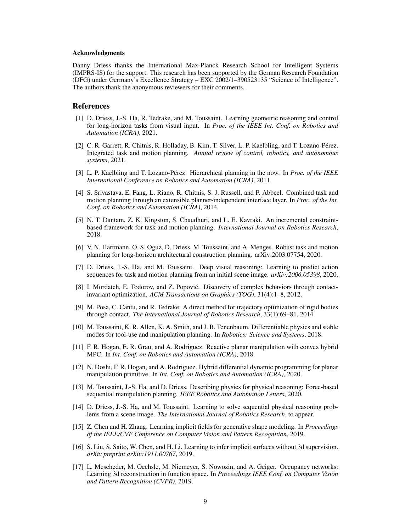#### <span id="page-8-0"></span>Acknowledgments

Danny Driess thanks the International Max-Planck Research School for Intelligent Systems (IMPRS-IS) for the support. This research has been supported by the German Research Foundation (DFG) under Germany's Excellence Strategy – EXC 2002/1–390523135 "Science of Intelligence". The authors thank the anonymous reviewers for their comments.

# References

- [1] D. Driess, J.-S. Ha, R. Tedrake, and M. Toussaint. Learning geometric reasoning and control for long-horizon tasks from visual input. In *Proc. of the IEEE Int. Conf. on Robotics and Automation (ICRA)*, 2021.
- [2] C. R. Garrett, R. Chitnis, R. Holladay, B. Kim, T. Silver, L. P. Kaelbling, and T. Lozano-Pérez. Integrated task and motion planning. *Annual review of control, robotics, and autonomous systems*, 2021.
- [3] L. P. Kaelbling and T. Lozano-Perez. Hierarchical planning in the now. In ´ *Proc. of the IEEE International Conference on Robotics and Automation (ICRA)*, 2011.
- [4] S. Srivastava, E. Fang, L. Riano, R. Chitnis, S. J. Russell, and P. Abbeel. Combined task and motion planning through an extensible planner-independent interface layer. In *Proc. of the Int. Conf. on Robotics and Automation (ICRA)*, 2014.
- [5] N. T. Dantam, Z. K. Kingston, S. Chaudhuri, and L. E. Kavraki. An incremental constraintbased framework for task and motion planning. *International Journal on Robotics Research*, 2018.
- [6] V. N. Hartmann, O. S. Oguz, D. Driess, M. Toussaint, and A. Menges. Robust task and motion planning for long-horizon architectural construction planning. arXiv:2003.07754, 2020.
- [7] D. Driess, J.-S. Ha, and M. Toussaint. Deep visual reasoning: Learning to predict action sequences for task and motion planning from an initial scene image. *arXiv:2006.05398*, 2020.
- [8] I. Mordatch, E. Todorov, and Z. Popović. Discovery of complex behaviors through contactinvariant optimization. *ACM Transactions on Graphics (TOG)*, 31(4):1–8, 2012.
- [9] M. Posa, C. Cantu, and R. Tedrake. A direct method for trajectory optimization of rigid bodies through contact. *The International Journal of Robotics Research*, 33(1):69–81, 2014.
- [10] M. Toussaint, K. R. Allen, K. A. Smith, and J. B. Tenenbaum. Differentiable physics and stable modes for tool-use and manipulation planning. In *Robotics: Science and Systems*, 2018.
- [11] F. R. Hogan, E. R. Grau, and A. Rodriguez. Reactive planar manipulation with convex hybrid MPC. In *Int. Conf. on Robotics and Automation (ICRA)*, 2018.
- [12] N. Doshi, F. R. Hogan, and A. Rodriguez. Hybrid differential dynamic programming for planar manipulation primitive. In *Int. Conf. on Robotics and Automation (ICRA)*, 2020.
- [13] M. Toussaint, J.-S. Ha, and D. Driess. Describing physics for physical reasoning: Force-based sequential manipulation planning. *IEEE Robotics and Automation Letters*, 2020.
- [14] D. Driess, J.-S. Ha, and M. Toussaint. Learning to solve sequential physical reasoning problems from a scene image. *The International Journal of Robotics Research*, to appear.
- [15] Z. Chen and H. Zhang. Learning implicit fields for generative shape modeling. In *Proceedings of the IEEE/CVF Conference on Computer Vision and Pattern Recognition*, 2019.
- [16] S. Liu, S. Saito, W. Chen, and H. Li. Learning to infer implicit surfaces without 3d supervision. *arXiv preprint arXiv:1911.00767*, 2019.
- [17] L. Mescheder, M. Oechsle, M. Niemeyer, S. Nowozin, and A. Geiger. Occupancy networks: Learning 3d reconstruction in function space. In *Proceedings IEEE Conf. on Computer Vision and Pattern Recognition (CVPR)*, 2019.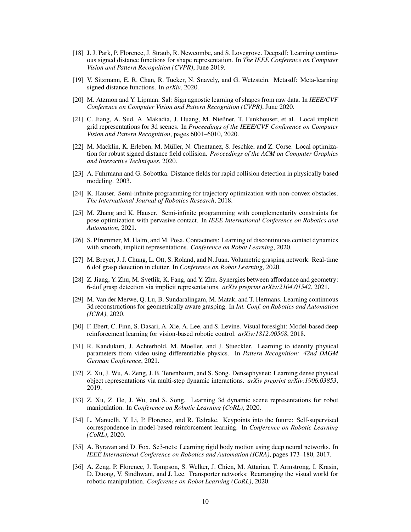- <span id="page-9-0"></span>[18] J. J. Park, P. Florence, J. Straub, R. Newcombe, and S. Lovegrove. Deepsdf: Learning continuous signed distance functions for shape representation. In *The IEEE Conference on Computer Vision and Pattern Recognition (CVPR)*, June 2019.
- [19] V. Sitzmann, E. R. Chan, R. Tucker, N. Snavely, and G. Wetzstein. Metasdf: Meta-learning signed distance functions. In *arXiv*, 2020.
- [20] M. Atzmon and Y. Lipman. Sal: Sign agnostic learning of shapes from raw data. In *IEEE/CVF Conference on Computer Vision and Pattern Recognition (CVPR)*, June 2020.
- [21] C. Jiang, A. Sud, A. Makadia, J. Huang, M. Nießner, T. Funkhouser, et al. Local implicit grid representations for 3d scenes. In *Proceedings of the IEEE/CVF Conference on Computer Vision and Pattern Recognition*, pages 6001–6010, 2020.
- [22] M. Macklin, K. Erleben, M. Muller, N. Chentanez, S. Jeschke, and Z. Corse. Local optimiza- ¨ tion for robust signed distance field collision. *Proceedings of the ACM on Computer Graphics and Interactive Techniques*, 2020.
- [23] A. Fuhrmann and G. Sobottka. Distance fields for rapid collision detection in physically based modeling. 2003.
- [24] K. Hauser. Semi-infinite programming for trajectory optimization with non-convex obstacles. *The International Journal of Robotics Research*, 2018.
- [25] M. Zhang and K. Hauser. Semi-infinite programming with complementarity constraints for pose optimization with pervasive contact. In *IEEE International Conference on Robotics and Automation*, 2021.
- [26] S. Pfrommer, M. Halm, and M. Posa. Contactnets: Learning of discontinuous contact dynamics with smooth, implicit representations. *Conference on Robot Learning*, 2020.
- [27] M. Breyer, J. J. Chung, L. Ott, S. Roland, and N. Juan. Volumetric grasping network: Real-time 6 dof grasp detection in clutter. In *Conference on Robot Learning*, 2020.
- [28] Z. Jiang, Y. Zhu, M. Svetlik, K. Fang, and Y. Zhu. Synergies between affordance and geometry: 6-dof grasp detection via implicit representations. *arXiv preprint arXiv:2104.01542*, 2021.
- [29] M. Van der Merwe, Q. Lu, B. Sundaralingam, M. Matak, and T. Hermans. Learning continuous 3d reconstructions for geometrically aware grasping. In *Int. Conf. on Robotics and Automation (ICRA)*, 2020.
- [30] F. Ebert, C. Finn, S. Dasari, A. Xie, A. Lee, and S. Levine. Visual foresight: Model-based deep reinforcement learning for vision-based robotic control. *arXiv:1812.00568*, 2018.
- [31] R. Kandukuri, J. Achterhold, M. Moeller, and J. Stueckler. Learning to identify physical parameters from video using differentiable physics. In *Pattern Recognition: 42nd DAGM German Conference*, 2021.
- [32] Z. Xu, J. Wu, A. Zeng, J. B. Tenenbaum, and S. Song. Densephysnet: Learning dense physical object representations via multi-step dynamic interactions. *arXiv preprint arXiv:1906.03853*, 2019.
- [33] Z. Xu, Z. He, J. Wu, and S. Song. Learning 3d dynamic scene representations for robot manipulation. In *Conference on Robotic Learning (CoRL)*, 2020.
- [34] L. Manuelli, Y. Li, P. Florence, and R. Tedrake. Keypoints into the future: Self-supervised correspondence in model-based reinforcement learning. In *Conference on Robotic Learning (CoRL)*, 2020.
- [35] A. Byravan and D. Fox. Se3-nets: Learning rigid body motion using deep neural networks. In *IEEE International Conference on Robotics and Automation (ICRA)*, pages 173–180, 2017.
- [36] A. Zeng, P. Florence, J. Tompson, S. Welker, J. Chien, M. Attarian, T. Armstrong, I. Krasin, D. Duong, V. Sindhwani, and J. Lee. Transporter networks: Rearranging the visual world for robotic manipulation. *Conference on Robot Learning (CoRL)*, 2020.